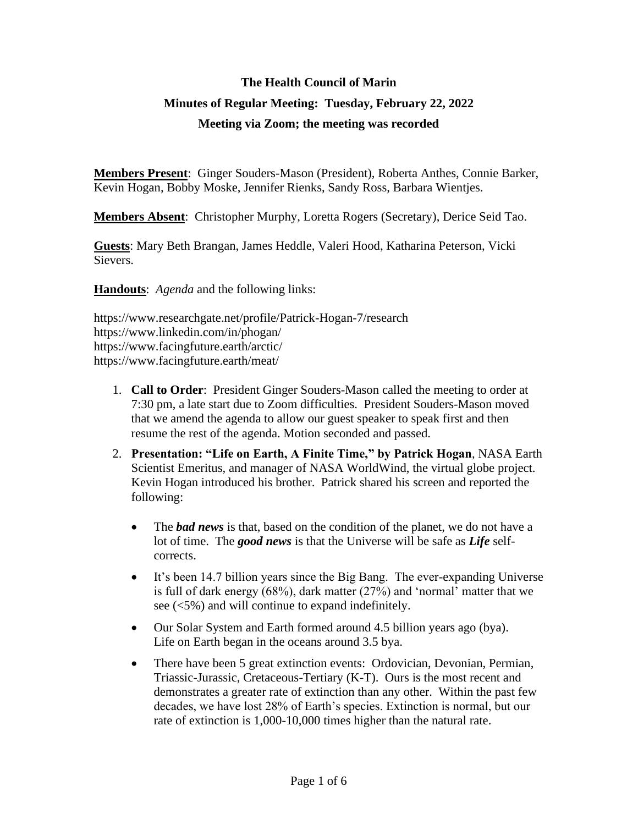## **The Health Council of Marin Minutes of Regular Meeting: Tuesday, February 22, 2022 Meeting via Zoom; the meeting was recorded**

**Members Present**: Ginger Souders-Mason (President), Roberta Anthes, Connie Barker, Kevin Hogan, Bobby Moske, Jennifer Rienks, Sandy Ross, Barbara Wientjes.

**Members Absent**: Christopher Murphy, Loretta Rogers (Secretary), Derice Seid Tao.

**Guests**: Mary Beth Brangan, James Heddle, Valeri Hood, Katharina Peterson, Vicki Sievers.

**Handouts**: *Agenda* and the following links:

https://www.researchgate.net/profile/Patrick-Hogan-7/research https://www.linkedin.com/in/phogan/ https://www.facingfuture.earth/arctic/ https://www.facingfuture.earth/meat/

- 1. **Call to Order**: President Ginger Souders-Mason called the meeting to order at 7:30 pm, a late start due to Zoom difficulties. President Souders-Mason moved that we amend the agenda to allow our guest speaker to speak first and then resume the rest of the agenda. Motion seconded and passed.
- 2. **Presentation: "Life on Earth, A Finite Time," by Patrick Hogan**, NASA Earth Scientist Emeritus, and manager of NASA WorldWind, the virtual globe project. Kevin Hogan introduced his brother. Patrick shared his screen and reported the following:
	- The *bad news* is that, based on the condition of the planet, we do not have a lot of time. The *good news* is that the Universe will be safe as *Life* selfcorrects.
	- It's been 14.7 billion years since the Big Bang. The ever-expanding Universe is full of dark energy (68%), dark matter (27%) and 'normal' matter that we see (<5%) and will continue to expand indefinitely.
	- Our Solar System and Earth formed around 4.5 billion years ago (bya). Life on Earth began in the oceans around 3.5 bya.
	- There have been 5 great extinction events: Ordovician, Devonian, Permian, Triassic-Jurassic, Cretaceous-Tertiary (K-T). Ours is the most recent and demonstrates a greater rate of extinction than any other. Within the past few decades, we have lost 28% of Earth's species. Extinction is normal, but our rate of extinction is 1,000-10,000 times higher than the natural rate.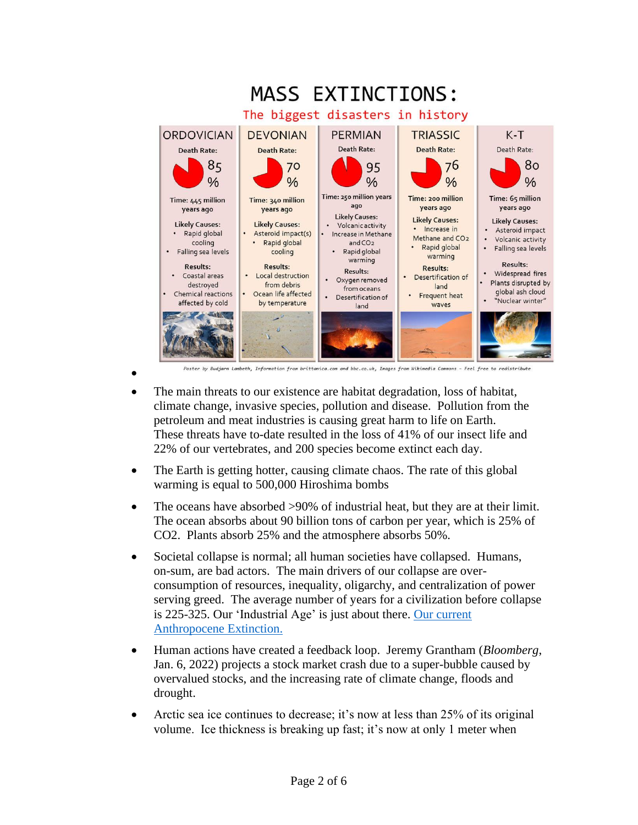

- The main threats to our existence are habitat degradation, loss of habitat, climate change, invasive species, pollution and disease. Pollution from the petroleum and meat industries is causing great harm to life on Earth. These threats have to-date resulted in the loss of 41% of our insect life and 22% of our vertebrates, and 200 species become extinct each day.
- The Earth is getting hotter, causing climate chaos. The rate of this global warming is equal to 500,000 Hiroshima bombs
- The oceans have absorbed >90% of industrial heat, but they are at their limit. The ocean absorbs about 90 billion tons of carbon per year, which is 25% of CO2. Plants absorb 25% and the atmosphere absorbs 50%.
- Societal collapse is normal; all human societies have collapsed. Humans, on-sum, are bad actors. The main drivers of our collapse are overconsumption of resources, inequality, oligarchy, and centralization of power serving greed. The average number of years for a civilization before collapse is 225-325. Our 'Industrial Age' is just about there. [Our current](https://en.wikipedia.org/wiki/The_Anthropocene_Extinction)  [Anthropocene Extinction.](https://en.wikipedia.org/wiki/The_Anthropocene_Extinction)
- Human actions have created a feedback loop. Jeremy Grantham (*Bloomberg*, Jan. 6, 2022) projects a stock market crash due to a super-bubble caused by overvalued stocks, and the increasing rate of climate change, floods and drought.
- Arctic sea ice continues to decrease; it's now at less than 25% of its original volume. Ice thickness is breaking up fast; it's now at only 1 meter when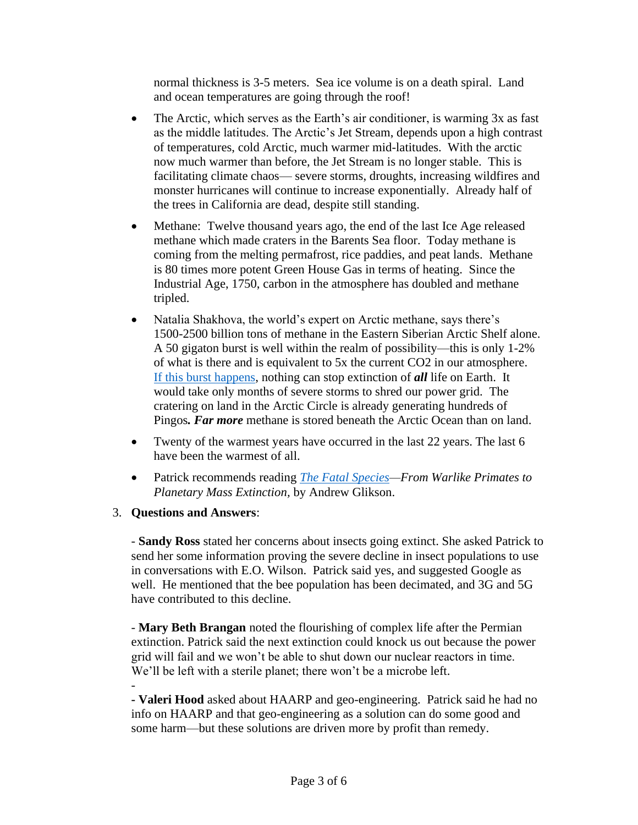normal thickness is 3-5 meters. Sea ice volume is on a death spiral. Land and ocean temperatures are going through the roof!

- The Arctic, which serves as the Earth's air conditioner, is warming 3x as fast as the middle latitudes. The Arctic's Jet Stream, depends upon a high contrast of temperatures, cold Arctic, much warmer mid-latitudes. With the arctic now much warmer than before, the Jet Stream is no longer stable. This is facilitating climate chaos— severe storms, droughts, increasing wildfires and monster hurricanes will continue to increase exponentially. Already half of the trees in California are dead, despite still standing.
- Methane: Twelve thousand years ago, the end of the last Ice Age released methane which made craters in the Barents Sea floor. Today methane is coming from the melting permafrost, rice paddies, and peat lands. Methane is 80 times more potent Green House Gas in terms of heating. Since the Industrial Age, 1750, carbon in the atmosphere has doubled and methane tripled.
- Natalia Shakhova, the world's expert on Arctic methane, says there's 1500-2500 billion tons of methane in the Eastern Siberian Arctic Shelf alone. A 50 gigaton burst is well within the realm of possibility—this is only 1-2% of what is there and is equivalent to 5x the current CO2 in our atmosphere. [If this burst happens,](https://www.facingfuture.earth/arctic/) nothing can stop extinction of *all* life on Earth. It would take only months of severe storms to shred our power grid. The cratering on land in the Arctic Circle is already generating hundreds of Pingos*. Far more* methane is stored beneath the Arctic Ocean than on land.
- Twenty of the warmest years have occurred in the last 22 years. The last 6 have been the warmest of all.
- Patrick recommends reading *[The Fatal Species—](https://link.springer.com/book/10.1007/978-3-030-75468-6)From Warlike Primates to Planetary Mass Extinction,* by Andrew Glikson.
- 3. **Questions and Answers**:

- **Sandy Ross** stated her concerns about insects going extinct. She asked Patrick to send her some information proving the severe decline in insect populations to use in conversations with E.O. Wilson. Patrick said yes, and suggested Google as well. He mentioned that the bee population has been decimated, and 3G and 5G have contributed to this decline.

- **Mary Beth Brangan** noted the flourishing of complex life after the Permian extinction. Patrick said the next extinction could knock us out because the power grid will fail and we won't be able to shut down our nuclear reactors in time. We'll be left with a sterile planet; there won't be a microbe left. -

**- Valeri Hood** asked about HAARP and geo-engineering. Patrick said he had no info on HAARP and that geo-engineering as a solution can do some good and some harm—but these solutions are driven more by profit than remedy.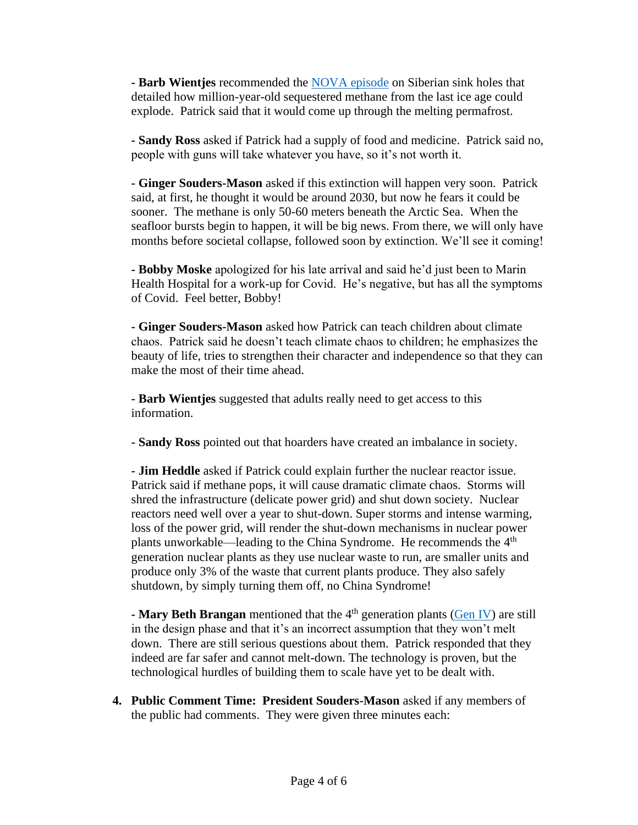**- Barb Wientjes** recommended the [NOVA episode](https://www.pbs.org/video/arctic-sinkholes-9jwenj/) on Siberian sink holes that detailed how million-year-old sequestered methane from the last ice age could explode. Patrick said that it would come up through the melting permafrost.

**- Sandy Ross** asked if Patrick had a supply of food and medicine. Patrick said no, people with guns will take whatever you have, so it's not worth it.

**- Ginger Souders-Mason** asked if this extinction will happen very soon. Patrick said, at first, he thought it would be around 2030, but now he fears it could be sooner. The methane is only 50-60 meters beneath the Arctic Sea. When the seafloor bursts begin to happen, it will be big news. From there, we will only have months before societal collapse, followed soon by extinction. We'll see it coming!

**- Bobby Moske** apologized for his late arrival and said he'd just been to Marin Health Hospital for a work-up for Covid. He's negative, but has all the symptoms of Covid. Feel better, Bobby!

**- Ginger Souders-Mason** asked how Patrick can teach children about climate chaos. Patrick said he doesn't teach climate chaos to children; he emphasizes the beauty of life, tries to strengthen their character and independence so that they can make the most of their time ahead.

**- Barb Wientjes** suggested that adults really need to get access to this information.

**- Sandy Ross** pointed out that hoarders have created an imbalance in society.

**- Jim Heddle** asked if Patrick could explain further the nuclear reactor issue. Patrick said if methane pops, it will cause dramatic climate chaos. Storms will shred the infrastructure (delicate power grid) and shut down society. Nuclear reactors need well over a year to shut-down. Super storms and intense warming, loss of the power grid, will render the shut-down mechanisms in nuclear power plants unworkable—leading to the China Syndrome. He recommends the  $4<sup>th</sup>$ generation nuclear plants as they use nuclear waste to run, are smaller units and produce only 3% of the waste that current plants produce. They also safely shutdown, by simply turning them off, no China Syndrome!

**- Mary Beth Brangan** mentioned that the 4<sup>th</sup> generation plants [\(Gen IV\)](https://en.wikipedia.org/wiki/Generation_IV_reactor) are still in the design phase and that it's an incorrect assumption that they won't melt down. There are still serious questions about them. Patrick responded that they indeed are far safer and cannot melt-down. The technology is proven, but the technological hurdles of building them to scale have yet to be dealt with.

**4. Public Comment Time: President Souders-Mason** asked if any members of the public had comments. They were given three minutes each: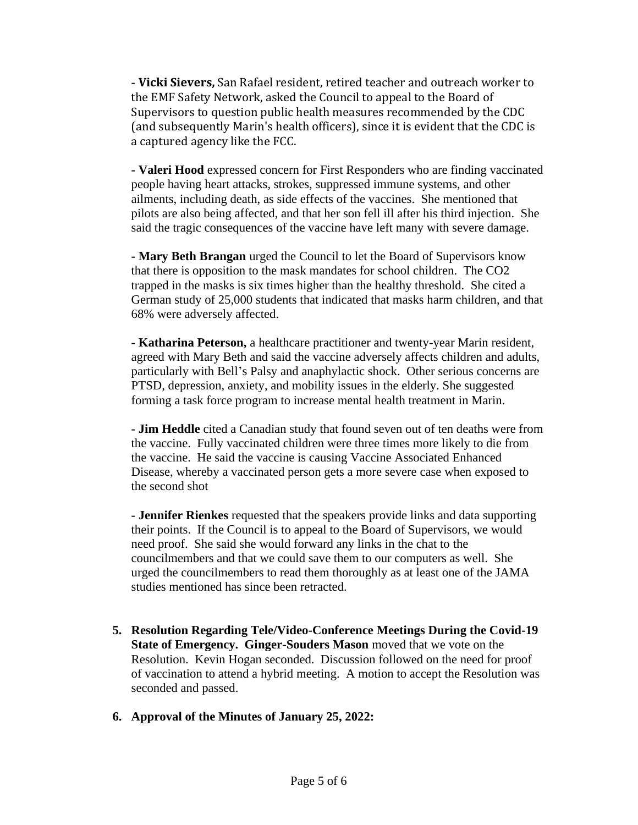**- Vicki Sievers,** San Rafael resident, retired teacher and outreach worker to the EMF Safety Network, asked the Council to appeal to the Board of Supervisors to question public health measures recommended by the CDC (and subsequently Marin's health officers), since it is evident that the CDC is a captured agency like the FCC.

**- Valeri Hood** expressed concern for First Responders who are finding vaccinated people having heart attacks, strokes, suppressed immune systems, and other ailments, including death, as side effects of the vaccines. She mentioned that pilots are also being affected, and that her son fell ill after his third injection. She said the tragic consequences of the vaccine have left many with severe damage.

**- Mary Beth Brangan** urged the Council to let the Board of Supervisors know that there is opposition to the mask mandates for school children. The CO2 trapped in the masks is six times higher than the healthy threshold. She cited a German study of 25,000 students that indicated that masks harm children, and that 68% were adversely affected.

**- Katharina Peterson,** a healthcare practitioner and twenty-year Marin resident, agreed with Mary Beth and said the vaccine adversely affects children and adults, particularly with Bell's Palsy and anaphylactic shock. Other serious concerns are PTSD, depression, anxiety, and mobility issues in the elderly. She suggested forming a task force program to increase mental health treatment in Marin.

**- Jim Heddle** cited a Canadian study that found seven out of ten deaths were from the vaccine. Fully vaccinated children were three times more likely to die from the vaccine. He said the vaccine is causing Vaccine Associated Enhanced Disease, whereby a vaccinated person gets a more severe case when exposed to the second shot

**- Jennifer Rienkes** requested that the speakers provide links and data supporting their points. If the Council is to appeal to the Board of Supervisors, we would need proof. She said she would forward any links in the chat to the councilmembers and that we could save them to our computers as well. She urged the councilmembers to read them thoroughly as at least one of the JAMA studies mentioned has since been retracted.

- **5. Resolution Regarding Tele/Video-Conference Meetings During the Covid-19 State of Emergency. Ginger-Souders Mason** moved that we vote on the Resolution. Kevin Hogan seconded. Discussion followed on the need for proof of vaccination to attend a hybrid meeting. A motion to accept the Resolution was seconded and passed.
- **6. Approval of the Minutes of January 25, 2022:**